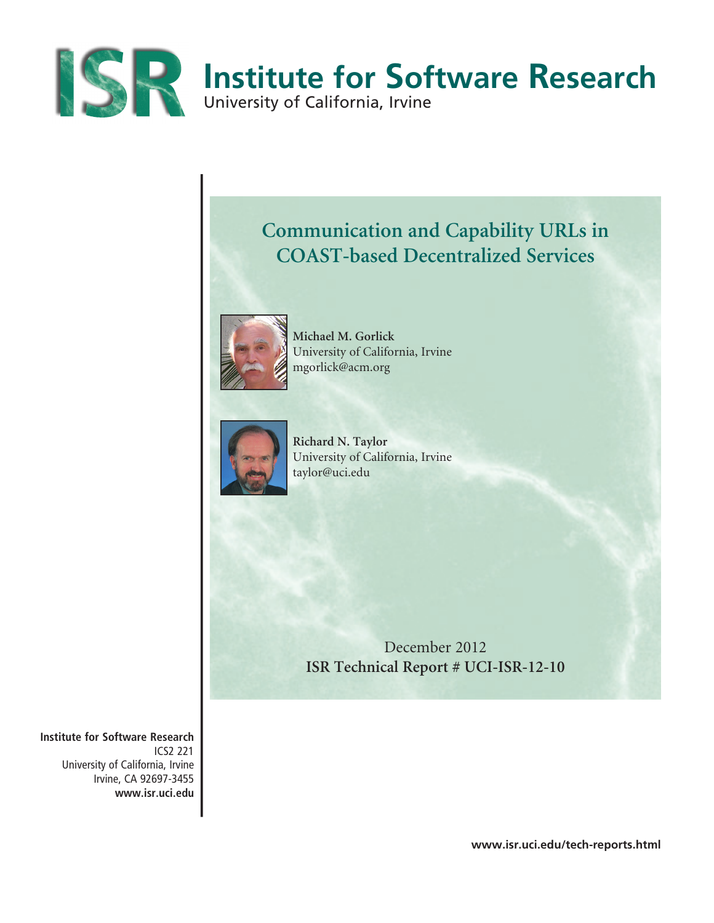



**Michael M. Gorlick**  University of California, Irvine mgorlick@acm.org



**Richard N. Taylor** University of California, Irvine taylor@uci.edu

December 2012 **ISR Technical Report # UCI-ISR-12-10**

**Institute for Software Research** ICS2 221 University of California, Irvine Irvine, CA 92697-3455 **www.isr.uci.edu**

**www.isr.uci.edu/tech-reports.html**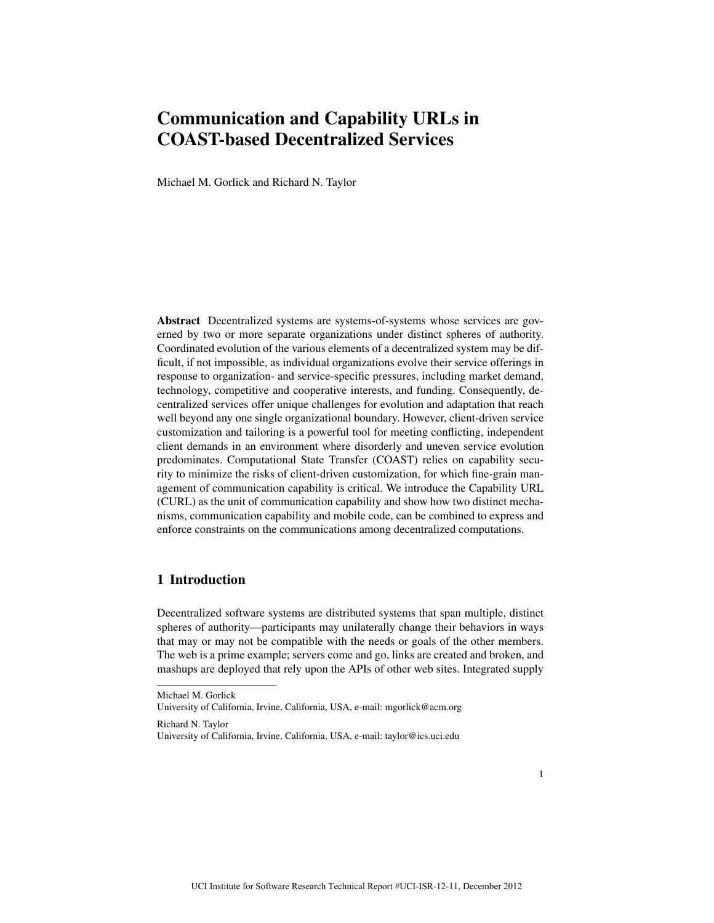Michael M. Gorlick and Richard N. Taylor

Abstract Decentralized systems are systems-of-systems whose services are governed by two or more separate organizations under distinct spheres of authority. Coordinated evolution of the various elements of a decentralized system may be difficult, if not impossible, as individual organizations evolve their service offerings in response to organization- and service-specific pressures, including market demand, technology, competitive and cooperative interests, and funding. Consequently, decentralized services offer unique challenges for evolution and adaptation that reach well beyond any one single organizational boundary. However, client-driven service customization and tailoring is a powerful tool for meeting conflicting, independent client demands in an environment where disorderly and uneven service evolution predominates. Computational State Transfer (COAST) relies on capability security to minimize the risks of client-driven customization, for which fine-grain management of communication capability is critical. We introduce the Capability URL (CURL) as the unit of communication capability and show how two distinct mechanisms, communication capability and mobile code, can be combined to express and enforce constraints on the communications among decentralized computations.

### 1 Introduction

Decentralized software systems are distributed systems that span multiple, distinct spheres of authority—participants may unilaterally change their behaviors in ways that may or may not be compatible with the needs or goals of the other members. The web is a prime example; servers come and go, links are created and broken, and mashups are deployed that rely upon the APIs of other web sites. Integrated supply

Richard N. Taylor

Michael M. Gorlick

University of California, Irvine, California, USA, e-mail: mgorlick@acm.org

University of California, Irvine, California, USA, e-mail: taylor@ics.uci.edu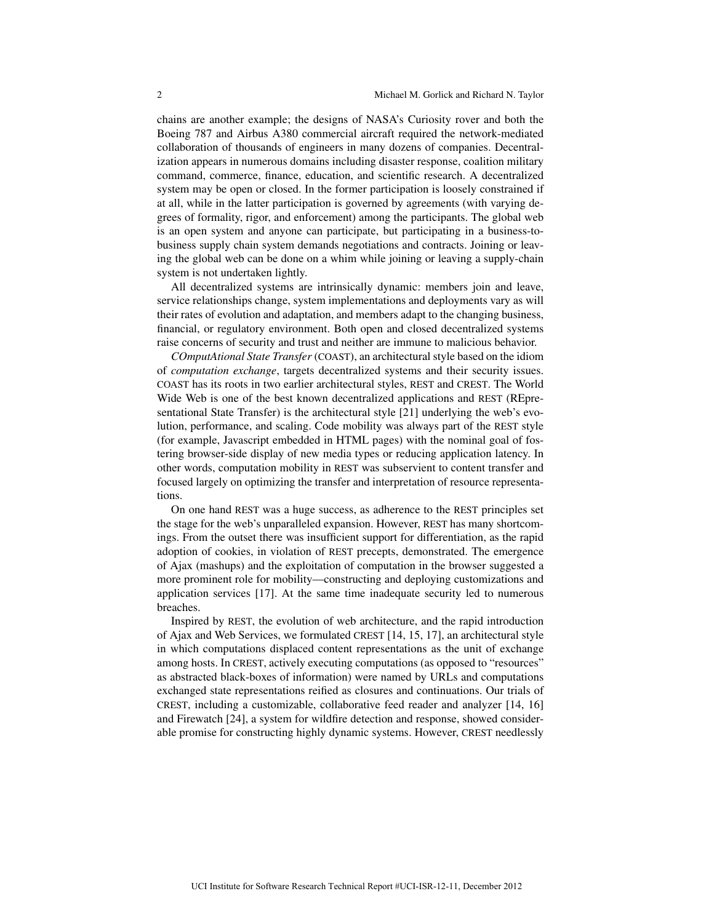chains are another example; the designs of NASA's Curiosity rover and both the Boeing 787 and Airbus A380 commercial aircraft required the network-mediated collaboration of thousands of engineers in many dozens of companies. Decentralization appears in numerous domains including disaster response, coalition military command, commerce, finance, education, and scientific research. A decentralized system may be open or closed. In the former participation is loosely constrained if at all, while in the latter participation is governed by agreements (with varying degrees of formality, rigor, and enforcement) among the participants. The global web is an open system and anyone can participate, but participating in a business-tobusiness supply chain system demands negotiations and contracts. Joining or leaving the global web can be done on a whim while joining or leaving a supply-chain system is not undertaken lightly.

All decentralized systems are intrinsically dynamic: members join and leave, service relationships change, system implementations and deployments vary as will their rates of evolution and adaptation, and members adapt to the changing business, financial, or regulatory environment. Both open and closed decentralized systems raise concerns of security and trust and neither are immune to malicious behavior.

*COmputAtional State Transfer* (COAST), an architectural style based on the idiom of *computation exchange*, targets decentralized systems and their security issues. COAST has its roots in two earlier architectural styles, REST and CREST. The World Wide Web is one of the best known decentralized applications and REST (REpresentational State Transfer) is the architectural style [21] underlying the web's evolution, performance, and scaling. Code mobility was always part of the REST style (for example, Javascript embedded in HTML pages) with the nominal goal of fostering browser-side display of new media types or reducing application latency. In other words, computation mobility in REST was subservient to content transfer and focused largely on optimizing the transfer and interpretation of resource representations.

On one hand REST was a huge success, as adherence to the REST principles set the stage for the web's unparalleled expansion. However, REST has many shortcomings. From the outset there was insufficient support for differentiation, as the rapid adoption of cookies, in violation of REST precepts, demonstrated. The emergence of Ajax (mashups) and the exploitation of computation in the browser suggested a more prominent role for mobility—constructing and deploying customizations and application services [17]. At the same time inadequate security led to numerous breaches.

Inspired by REST, the evolution of web architecture, and the rapid introduction of Ajax and Web Services, we formulated CREST [14, 15, 17], an architectural style in which computations displaced content representations as the unit of exchange among hosts. In CREST, actively executing computations (as opposed to "resources" as abstracted black-boxes of information) were named by URLs and computations exchanged state representations reified as closures and continuations. Our trials of CREST, including a customizable, collaborative feed reader and analyzer [14, 16] and Firewatch [24], a system for wildfire detection and response, showed considerable promise for constructing highly dynamic systems. However, CREST needlessly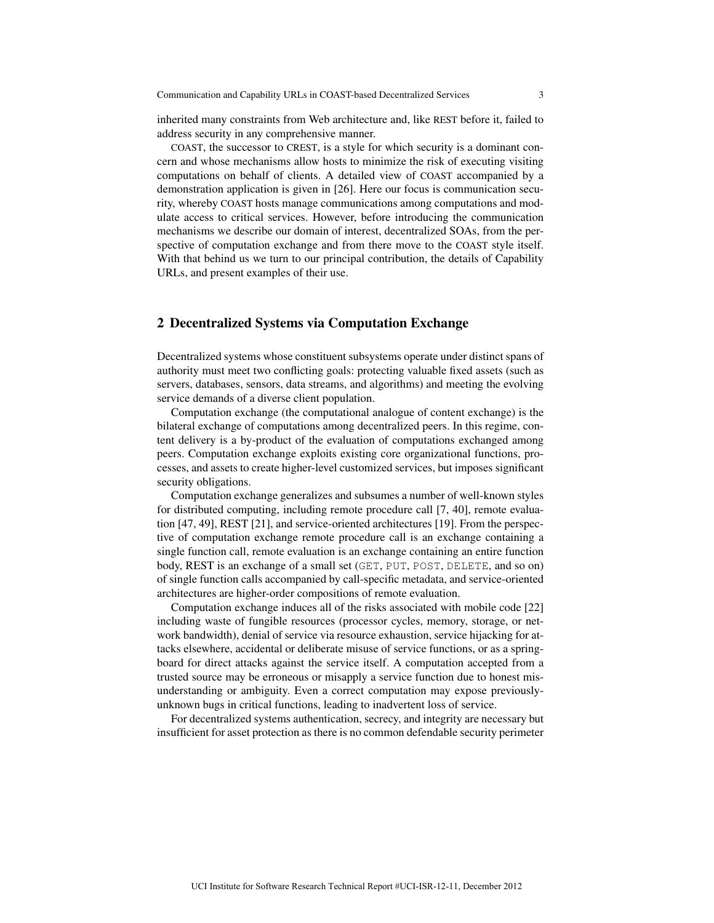inherited many constraints from Web architecture and, like REST before it, failed to address security in any comprehensive manner.

COAST, the successor to CREST, is a style for which security is a dominant concern and whose mechanisms allow hosts to minimize the risk of executing visiting computations on behalf of clients. A detailed view of COAST accompanied by a demonstration application is given in [26]. Here our focus is communication security, whereby COAST hosts manage communications among computations and modulate access to critical services. However, before introducing the communication mechanisms we describe our domain of interest, decentralized SOAs, from the perspective of computation exchange and from there move to the COAST style itself. With that behind us we turn to our principal contribution, the details of Capability URLs, and present examples of their use.

# 2 Decentralized Systems via Computation Exchange

Decentralized systems whose constituent subsystems operate under distinct spans of authority must meet two conflicting goals: protecting valuable fixed assets (such as servers, databases, sensors, data streams, and algorithms) and meeting the evolving service demands of a diverse client population.

Computation exchange (the computational analogue of content exchange) is the bilateral exchange of computations among decentralized peers. In this regime, content delivery is a by-product of the evaluation of computations exchanged among peers. Computation exchange exploits existing core organizational functions, processes, and assets to create higher-level customized services, but imposes significant security obligations.

Computation exchange generalizes and subsumes a number of well-known styles for distributed computing, including remote procedure call [7, 40], remote evaluation [47, 49], REST [21], and service-oriented architectures [19]. From the perspective of computation exchange remote procedure call is an exchange containing a single function call, remote evaluation is an exchange containing an entire function body, REST is an exchange of a small set (GET, PUT, POST, DELETE, and so on) of single function calls accompanied by call-specific metadata, and service-oriented architectures are higher-order compositions of remote evaluation.

Computation exchange induces all of the risks associated with mobile code [22] including waste of fungible resources (processor cycles, memory, storage, or network bandwidth), denial of service via resource exhaustion, service hijacking for attacks elsewhere, accidental or deliberate misuse of service functions, or as a springboard for direct attacks against the service itself. A computation accepted from a trusted source may be erroneous or misapply a service function due to honest misunderstanding or ambiguity. Even a correct computation may expose previouslyunknown bugs in critical functions, leading to inadvertent loss of service.

For decentralized systems authentication, secrecy, and integrity are necessary but insufficient for asset protection as there is no common defendable security perimeter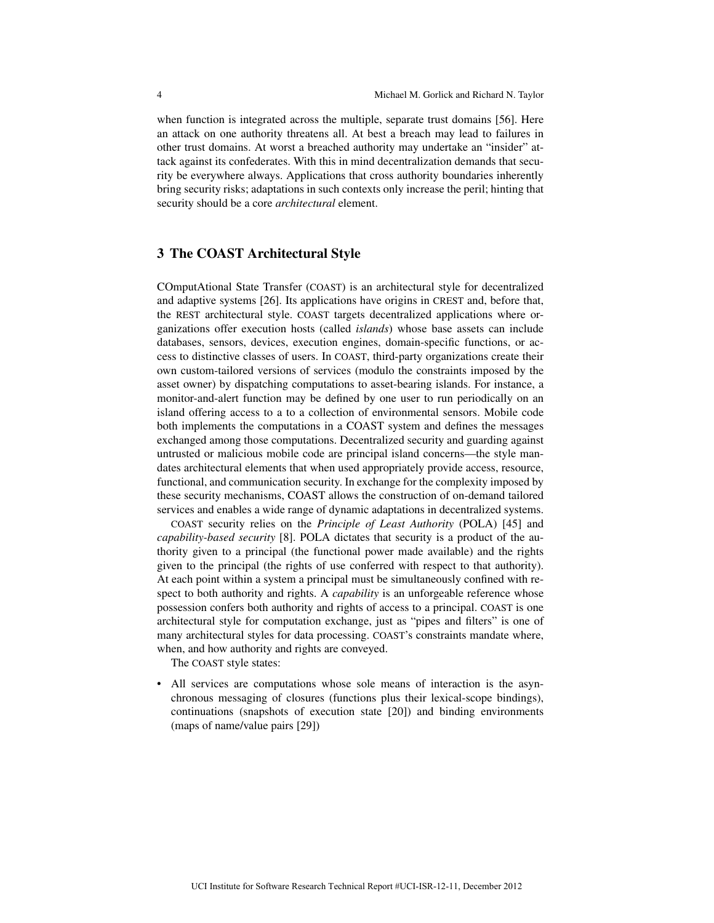when function is integrated across the multiple, separate trust domains [56]. Here an attack on one authority threatens all. At best a breach may lead to failures in other trust domains. At worst a breached authority may undertake an "insider" attack against its confederates. With this in mind decentralization demands that security be everywhere always. Applications that cross authority boundaries inherently bring security risks; adaptations in such contexts only increase the peril; hinting that security should be a core *architectural* element.

# 3 The COAST Architectural Style

COmputAtional State Transfer (COAST) is an architectural style for decentralized and adaptive systems [26]. Its applications have origins in CREST and, before that, the REST architectural style. COAST targets decentralized applications where organizations offer execution hosts (called *islands*) whose base assets can include databases, sensors, devices, execution engines, domain-specific functions, or access to distinctive classes of users. In COAST, third-party organizations create their own custom-tailored versions of services (modulo the constraints imposed by the asset owner) by dispatching computations to asset-bearing islands. For instance, a monitor-and-alert function may be defined by one user to run periodically on an island offering access to a to a collection of environmental sensors. Mobile code both implements the computations in a COAST system and defines the messages exchanged among those computations. Decentralized security and guarding against untrusted or malicious mobile code are principal island concerns—the style mandates architectural elements that when used appropriately provide access, resource, functional, and communication security. In exchange for the complexity imposed by these security mechanisms, COAST allows the construction of on-demand tailored services and enables a wide range of dynamic adaptations in decentralized systems.

COAST security relies on the *Principle of Least Authority* (POLA) [45] and *capability-based security* [8]. POLA dictates that security is a product of the authority given to a principal (the functional power made available) and the rights given to the principal (the rights of use conferred with respect to that authority). At each point within a system a principal must be simultaneously confined with respect to both authority and rights. A *capability* is an unforgeable reference whose possession confers both authority and rights of access to a principal. COAST is one architectural style for computation exchange, just as "pipes and filters" is one of many architectural styles for data processing. COAST's constraints mandate where, when, and how authority and rights are conveyed.

The COAST style states:

• All services are computations whose sole means of interaction is the asynchronous messaging of closures (functions plus their lexical-scope bindings), continuations (snapshots of execution state [20]) and binding environments (maps of name/value pairs [29])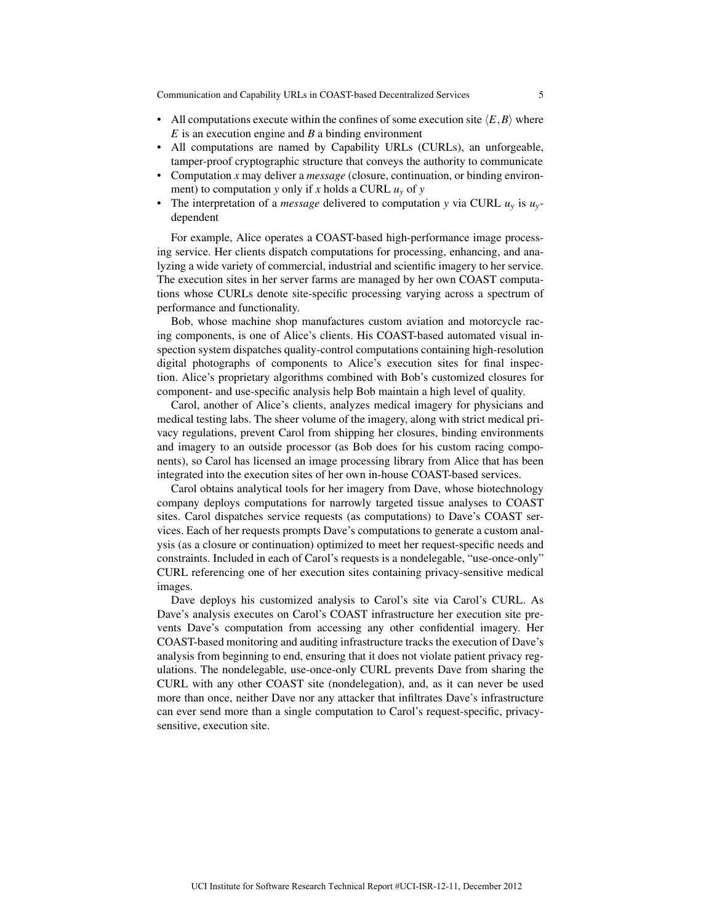- All computations execute within the confines of some execution site  $\langle E, B \rangle$  where *E* is an execution engine and *B* a binding environment
- All computations are named by Capability URLs (CURLs), an unforgeable, tamper-proof cryptographic structure that conveys the authority to communicate
- Computation *x* may deliver a *message* (closure, continuation, or binding environment) to computation *y* only if *x* holds a CURL  $u<sub>v</sub>$  of *y*
- The interpretation of a *message* delivered to computation *y* via CURL  $u_y$  is  $u_y$ dependent

For example, Alice operates a COAST-based high-performance image processing service. Her clients dispatch computations for processing, enhancing, and analyzing a wide variety of commercial, industrial and scientific imagery to her service. The execution sites in her server farms are managed by her own COAST computations whose CURLs denote site-specific processing varying across a spectrum of performance and functionality.

Bob, whose machine shop manufactures custom aviation and motorcycle racing components, is one of Alice's clients. His COAST-based automated visual inspection system dispatches quality-control computations containing high-resolution digital photographs of components to Alice's execution sites for final inspection. Alice's proprietary algorithms combined with Bob's customized closures for component- and use-specific analysis help Bob maintain a high level of quality.

Carol, another of Alice's clients, analyzes medical imagery for physicians and medical testing labs. The sheer volume of the imagery, along with strict medical privacy regulations, prevent Carol from shipping her closures, binding environments and imagery to an outside processor (as Bob does for his custom racing components), so Carol has licensed an image processing library from Alice that has been integrated into the execution sites of her own in-house COAST-based services.

Carol obtains analytical tools for her imagery from Dave, whose biotechnology company deploys computations for narrowly targeted tissue analyses to COAST sites. Carol dispatches service requests (as computations) to Dave's COAST services. Each of her requests prompts Dave's computations to generate a custom analysis (as a closure or continuation) optimized to meet her request-specific needs and constraints. Included in each of Carol's requests is a nondelegable, "use-once-only" CURL referencing one of her execution sites containing privacy-sensitive medical images.

Dave deploys his customized analysis to Carol's site via Carol's CURL. As Dave's analysis executes on Carol's COAST infrastructure her execution site prevents Dave's computation from accessing any other confidential imagery. Her COAST-based monitoring and auditing infrastructure tracks the execution of Dave's analysis from beginning to end, ensuring that it does not violate patient privacy regulations. The nondelegable, use-once-only CURL prevents Dave from sharing the CURL with any other COAST site (nondelegation), and, as it can never be used more than once, neither Dave nor any attacker that infiltrates Dave's infrastructure can ever send more than a single computation to Carol's request-specific, privacysensitive, execution site.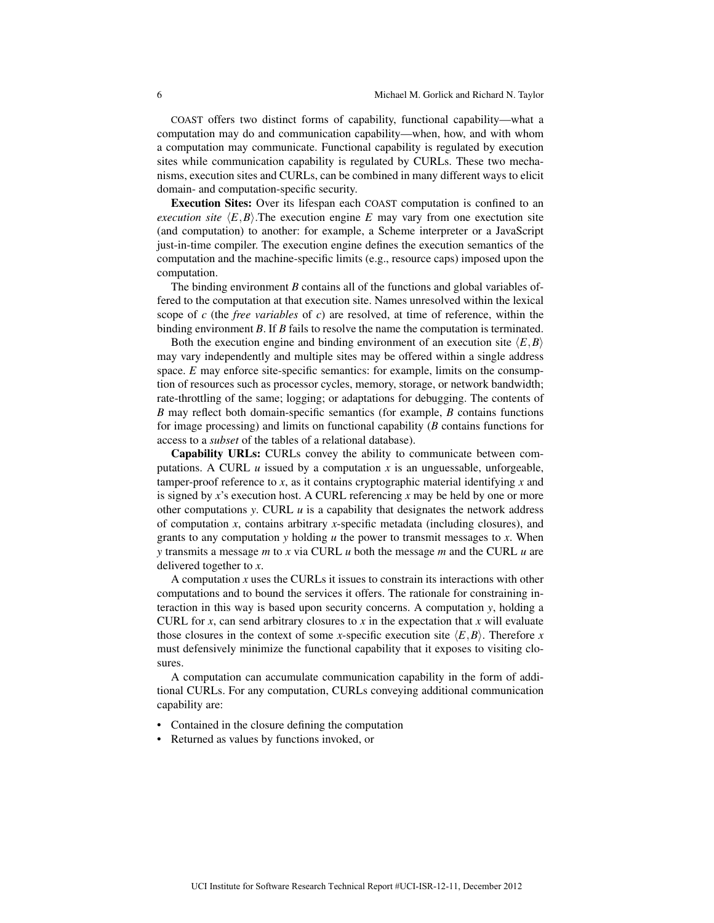COAST offers two distinct forms of capability, functional capability—what a computation may do and communication capability—when, how, and with whom a computation may communicate. Functional capability is regulated by execution sites while communication capability is regulated by CURLs. These two mechanisms, execution sites and CURLs, can be combined in many different ways to elicit domain- and computation-specific security.

Execution Sites: Over its lifespan each COAST computation is confined to an *execution site*  $\langle E, B \rangle$ . The execution engine *E* may vary from one exectution site (and computation) to another: for example, a Scheme interpreter or a JavaScript just-in-time compiler. The execution engine defines the execution semantics of the computation and the machine-specific limits (e.g., resource caps) imposed upon the computation.

The binding environment *B* contains all of the functions and global variables offered to the computation at that execution site. Names unresolved within the lexical scope of *c* (the *free variables* of *c*) are resolved, at time of reference, within the binding environment *B*. If *B* fails to resolve the name the computation is terminated.

Both the execution engine and binding environment of an execution site  $\langle E, B \rangle$ may vary independently and multiple sites may be offered within a single address space. *E* may enforce site-specific semantics: for example, limits on the consumption of resources such as processor cycles, memory, storage, or network bandwidth; rate-throttling of the same; logging; or adaptations for debugging. The contents of *B* may reflect both domain-specific semantics (for example, *B* contains functions for image processing) and limits on functional capability (*B* contains functions for access to a *subset* of the tables of a relational database).

Capability URLs: CURLs convey the ability to communicate between computations. A CURL *u* issued by a computation *x* is an unguessable, unforgeable, tamper-proof reference to *x*, as it contains cryptographic material identifying *x* and is signed by *x*'s execution host. A CURL referencing *x* may be held by one or more other computations  $y$ . CURL  $u$  is a capability that designates the network address of computation *x*, contains arbitrary *x*-specific metadata (including closures), and grants to any computation *y* holding *u* the power to transmit messages to *x*. When *y* transmits a message *m* to *x* via CURL *u* both the message *m* and the CURL *u* are delivered together to *x*.

A computation *x* uses the CURLs it issues to constrain its interactions with other computations and to bound the services it offers. The rationale for constraining interaction in this way is based upon security concerns. A computation *y*, holding a CURL for *x*, can send arbitrary closures to *x* in the expectation that *x* will evaluate those closures in the context of some *x*-specific execution site  $\langle E, B \rangle$ . Therefore *x* must defensively minimize the functional capability that it exposes to visiting closures.

A computation can accumulate communication capability in the form of additional CURLs. For any computation, CURLs conveying additional communication capability are:

- Contained in the closure defining the computation
- Returned as values by functions invoked, or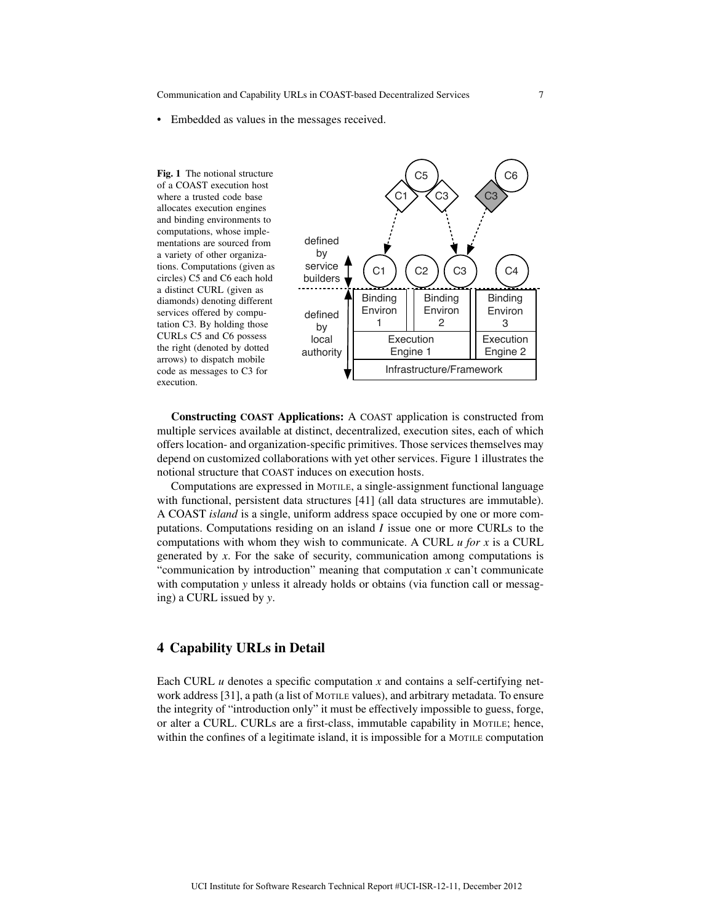• Embedded as values in the messages received.

Fig. 1 The notional structure of a COAST execution host where a trusted code base allocates execution engines and binding environments to computations, whose implementations are sourced from a variety of other organizations. Computations (given as circles) C5 and C6 each hold a distinct CURL (given as diamonds) denoting different services offered by computation C3. By holding those CURLs C5 and C6 possess the right (denoted by dotted arrows) to dispatch mobile code as messages to C3 for execution.



Constructing COAST Applications: A COAST application is constructed from multiple services available at distinct, decentralized, execution sites, each of which offers location- and organization-specific primitives. Those services themselves may depend on customized collaborations with yet other services. Figure 1 illustrates the notional structure that COAST induces on execution hosts.

Computations are expressed in MOTILE, a single-assignment functional language with functional, persistent data structures [41] (all data structures are immutable). A COAST *island* is a single, uniform address space occupied by one or more computations. Computations residing on an island *I* issue one or more CURLs to the computations with whom they wish to communicate. A CURL *u for x* is a CURL generated by *x*. For the sake of security, communication among computations is "communication by introduction" meaning that computation *x* can't communicate with computation *y* unless it already holds or obtains (via function call or messaging) a CURL issued by *y*.

#### 4 Capability URLs in Detail

Each CURL  $u$  denotes a specific computation  $x$  and contains a self-certifying network address [31], a path (a list of MOTILE values), and arbitrary metadata. To ensure the integrity of "introduction only" it must be effectively impossible to guess, forge, or alter a CURL. CURLs are a first-class, immutable capability in MOTILE; hence, within the confines of a legitimate island, it is impossible for a MOTILE computation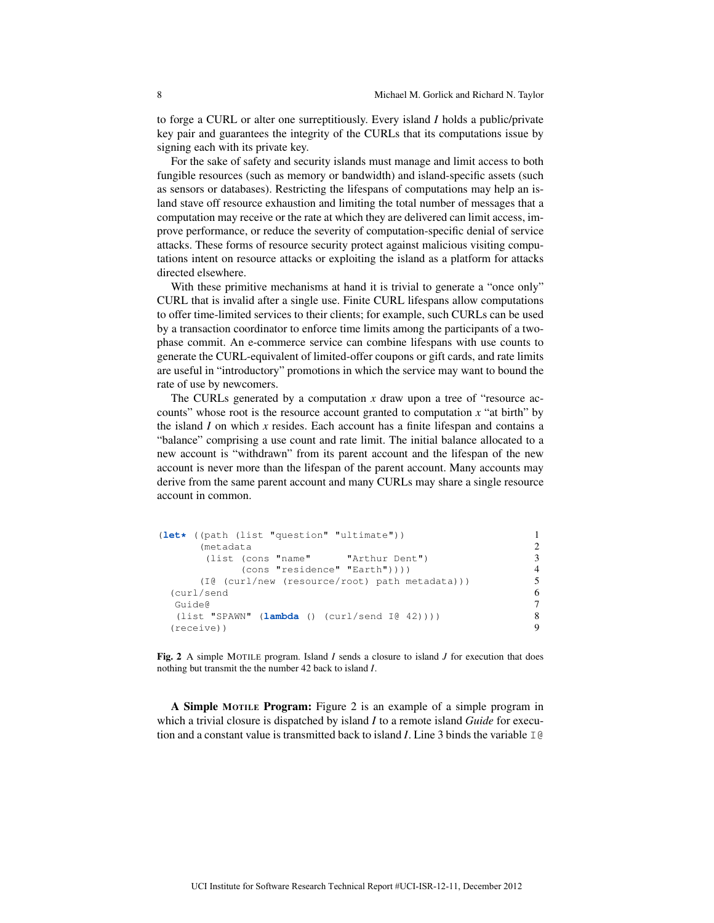to forge a CURL or alter one surreptitiously. Every island *I* holds a public/private key pair and guarantees the integrity of the CURLs that its computations issue by signing each with its private key.

For the sake of safety and security islands must manage and limit access to both fungible resources (such as memory or bandwidth) and island-specific assets (such as sensors or databases). Restricting the lifespans of computations may help an island stave off resource exhaustion and limiting the total number of messages that a computation may receive or the rate at which they are delivered can limit access, improve performance, or reduce the severity of computation-specific denial of service attacks. These forms of resource security protect against malicious visiting computations intent on resource attacks or exploiting the island as a platform for attacks directed elsewhere.

With these primitive mechanisms at hand it is trivial to generate a "once only" CURL that is invalid after a single use. Finite CURL lifespans allow computations to offer time-limited services to their clients; for example, such CURLs can be used by a transaction coordinator to enforce time limits among the participants of a twophase commit. An e-commerce service can combine lifespans with use counts to generate the CURL-equivalent of limited-offer coupons or gift cards, and rate limits are useful in "introductory" promotions in which the service may want to bound the rate of use by newcomers.

The CURLs generated by a computation  $x$  draw upon a tree of "resource accounts" whose root is the resource account granted to computation *x* "at birth" by the island *I* on which *x* resides. Each account has a finite lifespan and contains a "balance" comprising a use count and rate limit. The initial balance allocated to a new account is "withdrawn" from its parent account and the lifespan of the new account is never more than the lifespan of the parent account. Many accounts may derive from the same parent account and many CURLs may share a single resource account in common.

| $(\text{let} \star$ ((path (list "question" "ultimate")) |                             |
|----------------------------------------------------------|-----------------------------|
| (metadata                                                | $\mathcal{D}_{\mathcal{L}}$ |
| (list (cons "name" "Arthur Dent")                        | 3                           |
| $\{\text{cons}$ "residence" "Earth"))))                  | $\overline{4}$              |
| $(I@ (curl/new (resource/root) path metadata)))$         | 5                           |
| (curl/send                                               | 6                           |
| Guide@                                                   | 7                           |
| $(list "SPAWN" (lambda () (curl/send I@ 42))))$          | 8                           |
| (receive))                                               | 9                           |

Fig. 2 A simple MOTILE program. Island *I* sends a closure to island *J* for execution that does nothing but transmit the the number 42 back to island *I*.

A **Simple MOTILE Program:** Figure 2 is an example of a simple program in which a trivial closure is dispatched by island *I* to a remote island *Guide* for execution and a constant value is transmitted back to island *I*. Line 3 binds the variable  $I \oplus I$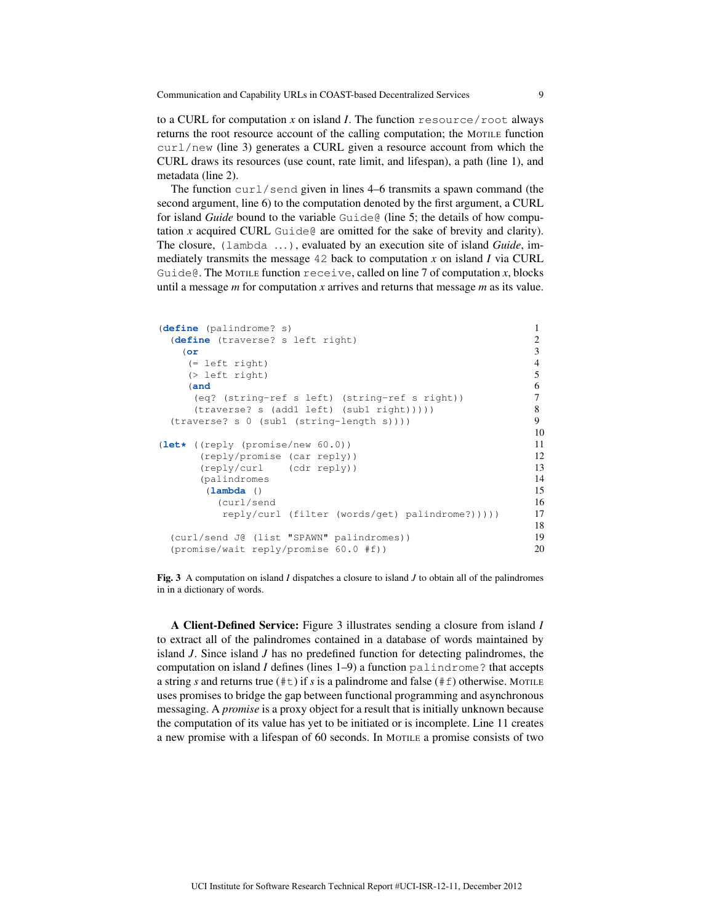to a CURL for computation *x* on island *I*. The function resource/root always returns the root resource account of the calling computation; the MOTILE function curl/new (line 3) generates a CURL given a resource account from which the CURL draws its resources (use count, rate limit, and lifespan), a path (line 1), and metadata (line 2).

The function curl/send given in lines 4–6 transmits a spawn command (the second argument, line 6) to the computation denoted by the first argument, a CURL for island *Guide* bound to the variable Guide@ (line 5; the details of how computation  $x$  acquired CURL Guide $@$  are omitted for the sake of brevity and clarity). The closure, (lambda ...), evaluated by an execution site of island *Guide*, immediately transmits the message 42 back to computation *x* on island *I* via CURL Guide@. The MOTILE function receive, called on line 7 of computation *x*, blocks until a message *m* for computation *x* arrives and returns that message *m* as its value.

```
(define (palindrome? s) 1<br>
(define (traverse? s left right) 2
 (define (traverse? s left right) 2
  (or 3
  (=\text{left right}) 4
  (>left right) 5
  (and 6
   (eq? (string-ref s left) (string-ref s right)) 7
   (traverse? s (add1 left) (sub1 right))))) 8
 (traverse? s 0 (sub1 (string-length s)))) 9
                                    10
(let* ((reply (promise/new 60.0)) 11<br>(reply/promise (car reply)) 12
   (reply/promise (car reply))
   (reply/curl (cdr reply)) 13
   (palindromes 14
    (lambda () 15
     (curl/send 16
     reply/curl (filter (words/get) palindrome?))))) 17
                                    18
 (curl/send J@ (list "SPAWN" palindromes)) 19
 (promise/wait reply/promise 60.0 #f)) 20
```
Fig. 3 A computation on island *I* dispatches a closure to island *J* to obtain all of the palindromes in in a dictionary of words.

A Client-Defined Service: Figure 3 illustrates sending a closure from island *I* to extract all of the palindromes contained in a database of words maintained by island *J*. Since island *J* has no predefined function for detecting palindromes, the computation on island *I* defines (lines 1–9) a function palindrome? that accepts a string *s* and returns true ( $\#$ t) if *s* is a palindrome and false ( $\#$ f) otherwise. MOTILE uses promises to bridge the gap between functional programming and asynchronous messaging. A *promise* is a proxy object for a result that is initially unknown because the computation of its value has yet to be initiated or is incomplete. Line 11 creates a new promise with a lifespan of 60 seconds. In MOTILE a promise consists of two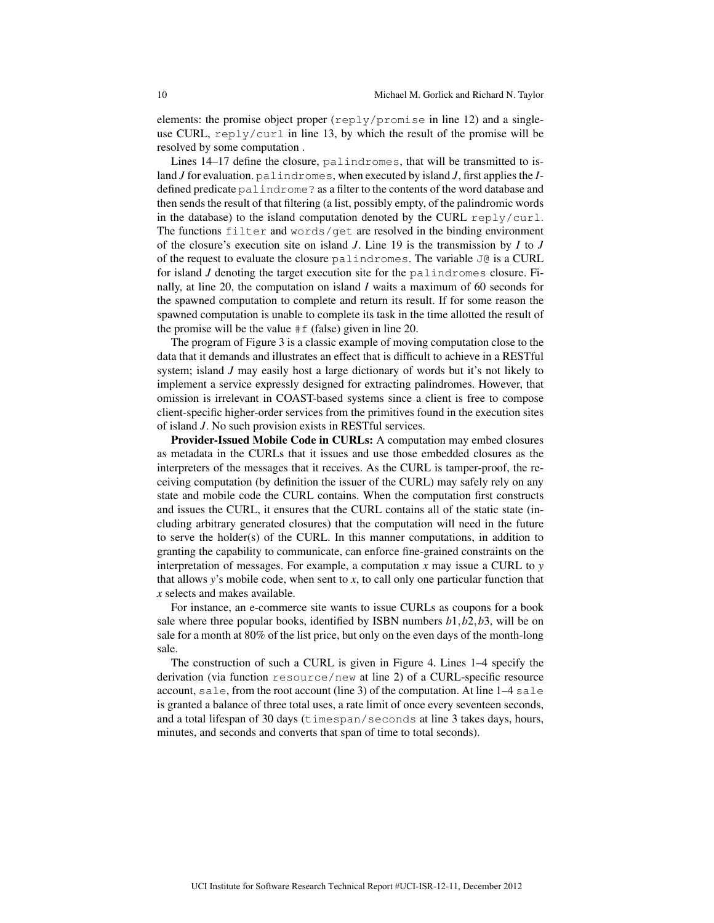elements: the promise object proper  $(reply/promise)$  in line 12) and a singleuse CURL, reply/curl in line 13, by which the result of the promise will be resolved by some computation .

Lines 14–17 define the closure, palindromes, that will be transmitted to island *J* for evaluation. palindromes, when executed by island *J*, first applies the *I*defined predicate palindrome? as a filter to the contents of the word database and then sends the result of that filtering (a list, possibly empty, of the palindromic words in the database) to the island computation denoted by the CURL reply/curl. The functions filter and words/get are resolved in the binding environment of the closure's execution site on island *J*. Line 19 is the transmission by *I* to *J* of the request to evaluate the closure palindromes. The variable  $J@$  is a CURL for island *J* denoting the target execution site for the palindromes closure. Finally, at line 20, the computation on island *I* waits a maximum of 60 seconds for the spawned computation to complete and return its result. If for some reason the spawned computation is unable to complete its task in the time allotted the result of the promise will be the value #f (false) given in line 20.

The program of Figure 3 is a classic example of moving computation close to the data that it demands and illustrates an effect that is difficult to achieve in a RESTful system; island *J* may easily host a large dictionary of words but it's not likely to implement a service expressly designed for extracting palindromes. However, that omission is irrelevant in COAST-based systems since a client is free to compose client-specific higher-order services from the primitives found in the execution sites of island *J*. No such provision exists in RESTful services.

Provider-Issued Mobile Code in CURLs: A computation may embed closures as metadata in the CURLs that it issues and use those embedded closures as the interpreters of the messages that it receives. As the CURL is tamper-proof, the receiving computation (by definition the issuer of the CURL) may safely rely on any state and mobile code the CURL contains. When the computation first constructs and issues the CURL, it ensures that the CURL contains all of the static state (including arbitrary generated closures) that the computation will need in the future to serve the holder(s) of the CURL. In this manner computations, in addition to granting the capability to communicate, can enforce fine-grained constraints on the interpretation of messages. For example, a computation *x* may issue a CURL to *y* that allows *y*'s mobile code, when sent to *x*, to call only one particular function that *x* selects and makes available.

For instance, an e-commerce site wants to issue CURLs as coupons for a book sale where three popular books, identified by ISBN numbers *b*1,*b*2,*b*3, will be on sale for a month at 80% of the list price, but only on the even days of the month-long sale.

The construction of such a CURL is given in Figure 4. Lines 1–4 specify the derivation (via function resource/new at line 2) of a CURL-specific resource account, sale, from the root account (line 3) of the computation. At line 1–4 sale is granted a balance of three total uses, a rate limit of once every seventeen seconds, and a total lifespan of 30 days (timespan/seconds at line 3 takes days, hours, minutes, and seconds and converts that span of time to total seconds).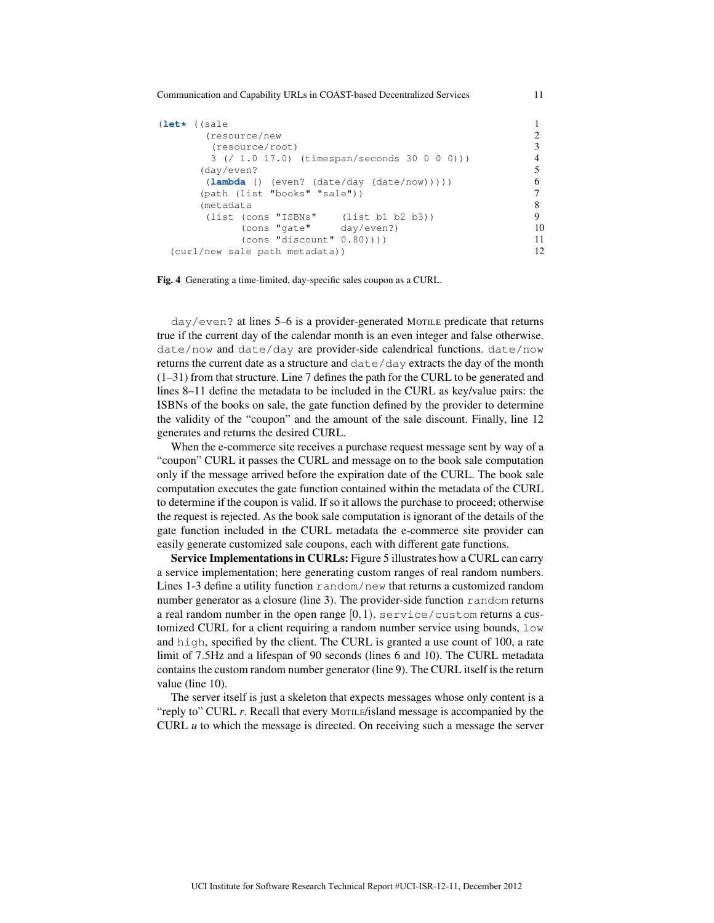| $(\text{let} \star)(\text{ sale})$ |                                                        |    |
|------------------------------------|--------------------------------------------------------|----|
|                                    | (resource/new                                          |    |
|                                    | (resource/root)                                        |    |
|                                    | 3 (/ 1.0 17.0) (timespan/seconds 30 0 0 0)))           |    |
|                                    | $\frac{\mathrm{day}}{\mathrm{even}}$ ?                 |    |
|                                    | $(\lambda)$ (1ambda () (even? (date/day (date/now))))) | 6  |
|                                    | (path (list "books" "sale"))                           |    |
|                                    | (metadata                                              | 8  |
|                                    | (list (cons "ISBNs" (list b1 b2 b3))                   | 9  |
|                                    | (cons "gate" day/even?)                                | 10 |
|                                    | $\text{(cons "discount" 0.80)}$                        | 11 |
|                                    | (curl/new sale path metadata))                         | 12 |

Fig. 4 Generating a time-limited, day-specific sales coupon as a CURL.

day/even? at lines 5–6 is a provider-generated MOTILE predicate that returns true if the current day of the calendar month is an even integer and false otherwise. date/now and date/day are provider-side calendrical functions. date/now returns the current date as a structure and date/day extracts the day of the month (1–31) from that structure. Line 7 defines the path for the CURL to be generated and lines 8–11 define the metadata to be included in the CURL as key/value pairs: the ISBNs of the books on sale, the gate function defined by the provider to determine the validity of the "coupon" and the amount of the sale discount. Finally, line 12 generates and returns the desired CURL.

When the e-commerce site receives a purchase request message sent by way of a "coupon" CURL it passes the CURL and message on to the book sale computation only if the message arrived before the expiration date of the CURL. The book sale computation executes the gate function contained within the metadata of the CURL to determine if the coupon is valid. If so it allows the purchase to proceed; otherwise the request is rejected. As the book sale computation is ignorant of the details of the gate function included in the CURL metadata the e-commerce site provider can easily generate customized sale coupons, each with different gate functions.

Service Implementations in CURLs: Figure 5 illustrates how a CURL can carry a service implementation; here generating custom ranges of real random numbers. Lines 1-3 define a utility function random/new that returns a customized random number generator as a closure (line 3). The provider-side function random returns a real random number in the open range  $[0,1)$ . service/custom returns a customized CURL for a client requiring a random number service using bounds, low and high, specified by the client. The CURL is granted a use count of 100, a rate limit of 7.5Hz and a lifespan of 90 seconds (lines 6 and 10). The CURL metadata contains the custom random number generator (line 9). The CURL itself is the return value (line 10).

The server itself is just a skeleton that expects messages whose only content is a "reply to" CURL *r*. Recall that every MOTILE/island message is accompanied by the CURL *u* to which the message is directed. On receiving such a message the server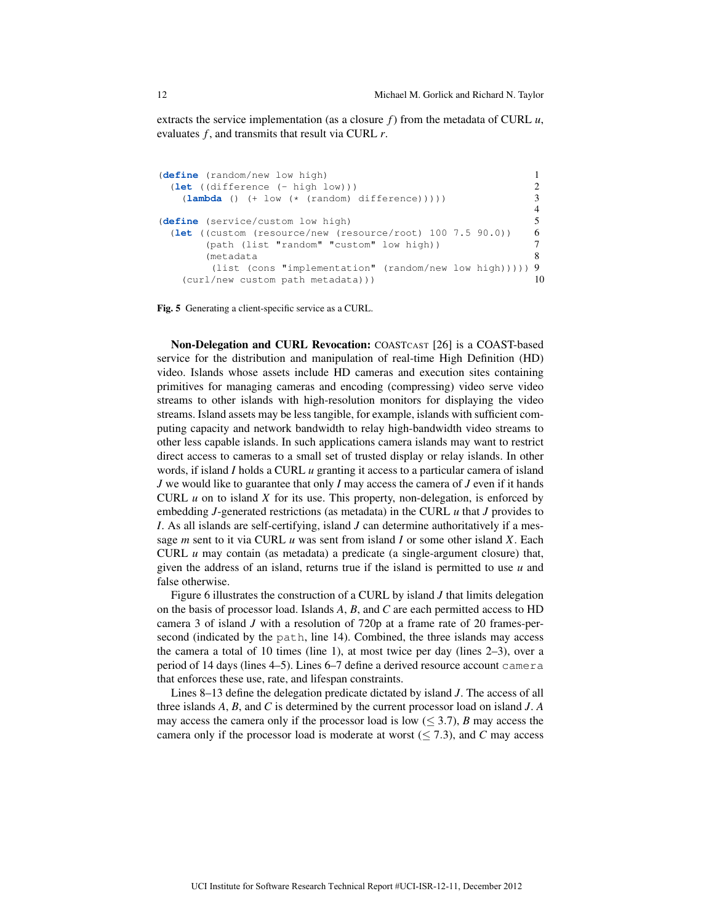extracts the service implementation (as a closure *f*) from the metadata of CURL *u*, evaluates *f* , and transmits that result via CURL *r*.

```
(define (random/new low high) 1<br>(let ((difference (- bigh low))) 2
 (let ((difference (- high low))) 2<br>(lambda () (+ low (* (random) difference)))) 3
   (\text{lambda} () (+ \text{low} (+ \text{random}) \text{difference})))4
(define (service/custom low high) 5
 (let ((custom (resource/new (resource/root) 100 7.5 90.0)) 6
      (path (list "random" "custom" low high)) 7
      (metadata 8
       (list (cons "implementation" (random/new low high))))) 9
   (curl/new custom path metadata))) 10
```
Fig. 5 Generating a client-specific service as a CURL.

Non-Delegation and CURL Revocation: COASTCAST [26] is a COAST-based service for the distribution and manipulation of real-time High Definition (HD) video. Islands whose assets include HD cameras and execution sites containing primitives for managing cameras and encoding (compressing) video serve video streams to other islands with high-resolution monitors for displaying the video streams. Island assets may be less tangible, for example, islands with sufficient computing capacity and network bandwidth to relay high-bandwidth video streams to other less capable islands. In such applications camera islands may want to restrict direct access to cameras to a small set of trusted display or relay islands. In other words, if island *I* holds a CURL *u* granting it access to a particular camera of island *J* we would like to guarantee that only *I* may access the camera of *J* even if it hands CURL *u* on to island *X* for its use. This property, non-delegation, is enforced by embedding *J*-generated restrictions (as metadata) in the CURL *u* that *J* provides to *I*. As all islands are self-certifying, island *J* can determine authoritatively if a message *m* sent to it via CURL *u* was sent from island *I* or some other island *X*. Each CURL *u* may contain (as metadata) a predicate (a single-argument closure) that, given the address of an island, returns true if the island is permitted to use *u* and false otherwise.

Figure 6 illustrates the construction of a CURL by island *J* that limits delegation on the basis of processor load. Islands *A*, *B*, and *C* are each permitted access to HD camera 3 of island *J* with a resolution of 720p at a frame rate of 20 frames-persecond (indicated by the path, line 14). Combined, the three islands may access the camera a total of 10 times (line 1), at most twice per day (lines 2–3), over a period of 14 days (lines 4–5). Lines 6–7 define a derived resource account camera that enforces these use, rate, and lifespan constraints.

Lines 8–13 define the delegation predicate dictated by island *J*. The access of all three islands *A*, *B*, and *C* is determined by the current processor load on island *J*. *A* may access the camera only if the processor load is low  $(\leq 3.7)$ , *B* may access the camera only if the processor load is moderate at worst  $(< 7.3$ ), and *C* may access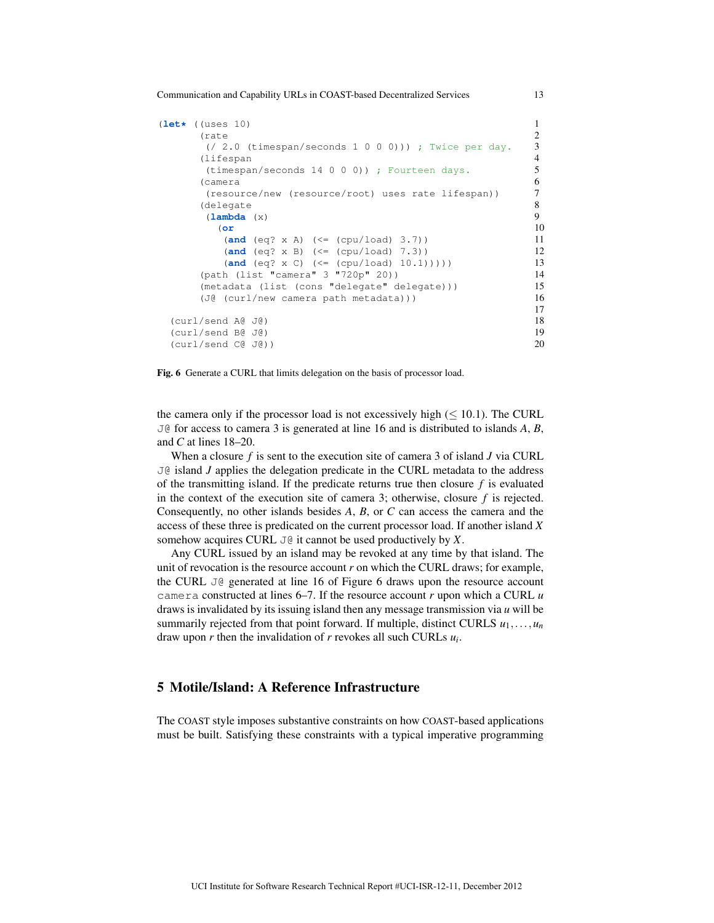```
(let* ((uses 10) 1<br>(rate 2)
    (rate 2)
    (/ 2.0 (timespan/seconds 1 0 0 0))) ; Twice per day. 3
    (lifespan 4
    (timespan/seconds 14 0 0 0)) ; Fourteen days. 5
    (camera 6
    (resource/new (resource/root) uses rate lifespan)) 7
    (delegate 8
    (lambda (x) 9
     (or 10
      (\text{and } (\text{eq? x A}) \leq (\text{cpu}/\text{load}) \cdot 3.7) 11
      (and (eq? x B) (<= (cpu/load) 7.3)) 12
      (and (eq? x C) (<= (cpu/load) 10.1))))) 13<br>h (list "camera" 3 "720p" 20)) 14
    (path (list "camera" 3 "720p" 20))
    (metadata (list (cons "delegate" delegate))) 15
    (J@ (curl/new camera path metadata))) 16
                                      17
 \text{Curl/send} A\text{Q} J\text{Q}) 18
 (curl/send B@ J@) 19
 (curl/send C@ J@)) 20
```
Fig. 6 Generate a CURL that limits delegation on the basis of processor load.

the camera only if the processor load is not excessively high  $(< 10.1$ ). The CURL J@ for access to camera 3 is generated at line 16 and is distributed to islands *A*, *B*, and *C* at lines 18–20.

When a closure *f* is sent to the execution site of camera 3 of island *J* via CURL  $J\odot$  island *J* applies the delegation predicate in the CURL metadata to the address of the transmitting island. If the predicate returns true then closure  $f$  is evaluated in the context of the execution site of camera 3; otherwise, closure *f* is rejected. Consequently, no other islands besides *A*, *B*, or *C* can access the camera and the access of these three is predicated on the current processor load. If another island *X* somehow acquires CURL J@ it cannot be used productively by *X*.

Any CURL issued by an island may be revoked at any time by that island. The unit of revocation is the resource account *r* on which the CURL draws; for example, the CURL J@ generated at line 16 of Figure 6 draws upon the resource account camera constructed at lines 6–7. If the resource account *r* upon which a CURL *u* draws is invalidated by its issuing island then any message transmission via *u* will be summarily rejected from that point forward. If multiple, distinct CURLS  $u_1, \ldots, u_n$ draw upon *r* then the invalidation of *r* revokes all such CURLs *u<sup>i</sup>* .

# 5 Motile/Island: A Reference Infrastructure

The COAST style imposes substantive constraints on how COAST-based applications must be built. Satisfying these constraints with a typical imperative programming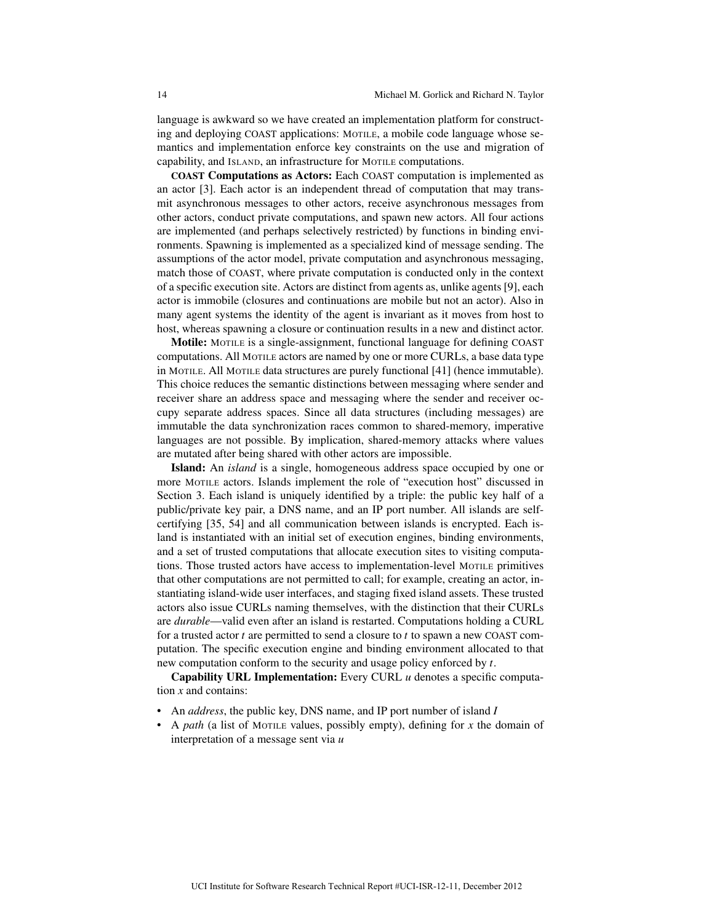language is awkward so we have created an implementation platform for constructing and deploying COAST applications: MOTILE, a mobile code language whose semantics and implementation enforce key constraints on the use and migration of capability, and ISLAND, an infrastructure for MOTILE computations.

COAST Computations as Actors: Each COAST computation is implemented as an actor [3]. Each actor is an independent thread of computation that may transmit asynchronous messages to other actors, receive asynchronous messages from other actors, conduct private computations, and spawn new actors. All four actions are implemented (and perhaps selectively restricted) by functions in binding environments. Spawning is implemented as a specialized kind of message sending. The assumptions of the actor model, private computation and asynchronous messaging, match those of COAST, where private computation is conducted only in the context of a specific execution site. Actors are distinct from agents as, unlike agents [9], each actor is immobile (closures and continuations are mobile but not an actor). Also in many agent systems the identity of the agent is invariant as it moves from host to host, whereas spawning a closure or continuation results in a new and distinct actor.

Motile: MOTILE is a single-assignment, functional language for defining COAST computations. All MOTILE actors are named by one or more CURLs, a base data type in MOTILE. All MOTILE data structures are purely functional [41] (hence immutable). This choice reduces the semantic distinctions between messaging where sender and receiver share an address space and messaging where the sender and receiver occupy separate address spaces. Since all data structures (including messages) are immutable the data synchronization races common to shared-memory, imperative languages are not possible. By implication, shared-memory attacks where values are mutated after being shared with other actors are impossible.

Island: An *island* is a single, homogeneous address space occupied by one or more MOTILE actors. Islands implement the role of "execution host" discussed in Section 3. Each island is uniquely identified by a triple: the public key half of a public/private key pair, a DNS name, and an IP port number. All islands are selfcertifying [35, 54] and all communication between islands is encrypted. Each island is instantiated with an initial set of execution engines, binding environments, and a set of trusted computations that allocate execution sites to visiting computations. Those trusted actors have access to implementation-level MOTILE primitives that other computations are not permitted to call; for example, creating an actor, instantiating island-wide user interfaces, and staging fixed island assets. These trusted actors also issue CURLs naming themselves, with the distinction that their CURLs are *durable*—valid even after an island is restarted. Computations holding a CURL for a trusted actor *t* are permitted to send a closure to *t* to spawn a new COAST computation. The specific execution engine and binding environment allocated to that new computation conform to the security and usage policy enforced by *t*.

Capability URL Implementation: Every CURL *u* denotes a specific computation *x* and contains:

- An *address*, the public key, DNS name, and IP port number of island *I*
- A *path* (a list of MOTILE values, possibly empty), defining for *x* the domain of interpretation of a message sent via *u*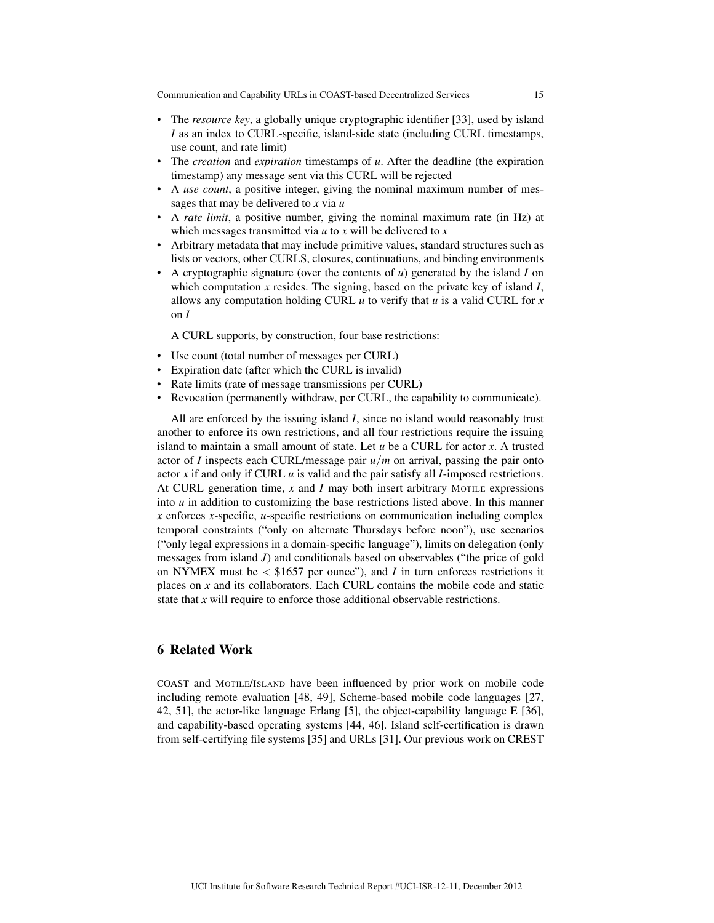- The *resource key*, a globally unique cryptographic identifier [33], used by island *I* as an index to CURL-specific, island-side state (including CURL timestamps, use count, and rate limit)
- The *creation* and *expiration* timestamps of *u*. After the deadline (the expiration timestamp) any message sent via this CURL will be rejected
- A *use count*, a positive integer, giving the nominal maximum number of messages that may be delivered to *x* via *u*
- A *rate limit*, a positive number, giving the nominal maximum rate (in Hz) at which messages transmitted via *u* to *x* will be delivered to *x*
- Arbitrary metadata that may include primitive values, standard structures such as lists or vectors, other CURLS, closures, continuations, and binding environments
- A cryptographic signature (over the contents of *u*) generated by the island *I* on which computation *x* resides. The signing, based on the private key of island *I*, allows any computation holding CURL *u* to verify that *u* is a valid CURL for *x* on *I*

A CURL supports, by construction, four base restrictions:

- Use count (total number of messages per CURL)
- Expiration date (after which the CURL is invalid)
- Rate limits (rate of message transmissions per CURL)
- Revocation (permanently withdraw, per CURL, the capability to communicate).

All are enforced by the issuing island *I*, since no island would reasonably trust another to enforce its own restrictions, and all four restrictions require the issuing island to maintain a small amount of state. Let *u* be a CURL for actor *x*. A trusted actor of *I* inspects each CURL/message pair *u*/*m* on arrival, passing the pair onto actor *x* if and only if CURL *u* is valid and the pair satisfy all *I*-imposed restrictions. At CURL generation time, *x* and *I* may both insert arbitrary MOTILE expressions into  $u$  in addition to customizing the base restrictions listed above. In this manner *x* enforces *x*-specific, *u*-specific restrictions on communication including complex temporal constraints ("only on alternate Thursdays before noon"), use scenarios ("only legal expressions in a domain-specific language"), limits on delegation (only messages from island *J*) and conditionals based on observables ("the price of gold on NYMEX must be  $\lt$  \$1657 per ounce"), and *I* in turn enforces restrictions it places on *x* and its collaborators. Each CURL contains the mobile code and static state that *x* will require to enforce those additional observable restrictions.

# 6 Related Work

COAST and MOTILE/ISLAND have been influenced by prior work on mobile code including remote evaluation [48, 49], Scheme-based mobile code languages [27, 42, 51], the actor-like language Erlang [5], the object-capability language E [36], and capability-based operating systems [44, 46]. Island self-certification is drawn from self-certifying file systems [35] and URLs [31]. Our previous work on CREST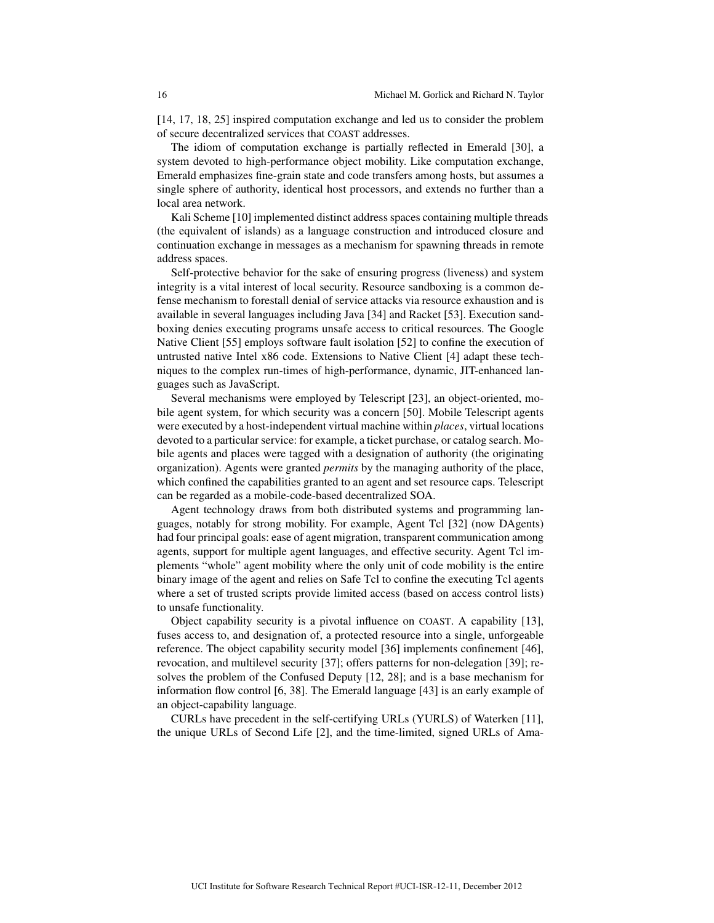[14, 17, 18, 25] inspired computation exchange and led us to consider the problem of secure decentralized services that COAST addresses.

The idiom of computation exchange is partially reflected in Emerald [30], a system devoted to high-performance object mobility. Like computation exchange, Emerald emphasizes fine-grain state and code transfers among hosts, but assumes a single sphere of authority, identical host processors, and extends no further than a local area network.

Kali Scheme [10] implemented distinct address spaces containing multiple threads (the equivalent of islands) as a language construction and introduced closure and continuation exchange in messages as a mechanism for spawning threads in remote address spaces.

Self-protective behavior for the sake of ensuring progress (liveness) and system integrity is a vital interest of local security. Resource sandboxing is a common defense mechanism to forestall denial of service attacks via resource exhaustion and is available in several languages including Java [34] and Racket [53]. Execution sandboxing denies executing programs unsafe access to critical resources. The Google Native Client [55] employs software fault isolation [52] to confine the execution of untrusted native Intel x86 code. Extensions to Native Client [4] adapt these techniques to the complex run-times of high-performance, dynamic, JIT-enhanced languages such as JavaScript.

Several mechanisms were employed by Telescript [23], an object-oriented, mobile agent system, for which security was a concern [50]. Mobile Telescript agents were executed by a host-independent virtual machine within *places*, virtual locations devoted to a particular service: for example, a ticket purchase, or catalog search. Mobile agents and places were tagged with a designation of authority (the originating organization). Agents were granted *permits* by the managing authority of the place, which confined the capabilities granted to an agent and set resource caps. Telescript can be regarded as a mobile-code-based decentralized SOA.

Agent technology draws from both distributed systems and programming languages, notably for strong mobility. For example, Agent Tcl [32] (now DAgents) had four principal goals: ease of agent migration, transparent communication among agents, support for multiple agent languages, and effective security. Agent Tcl implements "whole" agent mobility where the only unit of code mobility is the entire binary image of the agent and relies on Safe Tcl to confine the executing Tcl agents where a set of trusted scripts provide limited access (based on access control lists) to unsafe functionality.

Object capability security is a pivotal influence on COAST. A capability [13], fuses access to, and designation of, a protected resource into a single, unforgeable reference. The object capability security model [36] implements confinement [46], revocation, and multilevel security [37]; offers patterns for non-delegation [39]; resolves the problem of the Confused Deputy [12, 28]; and is a base mechanism for information flow control [6, 38]. The Emerald language [43] is an early example of an object-capability language.

CURLs have precedent in the self-certifying URLs (YURLS) of Waterken [11], the unique URLs of Second Life [2], and the time-limited, signed URLs of Ama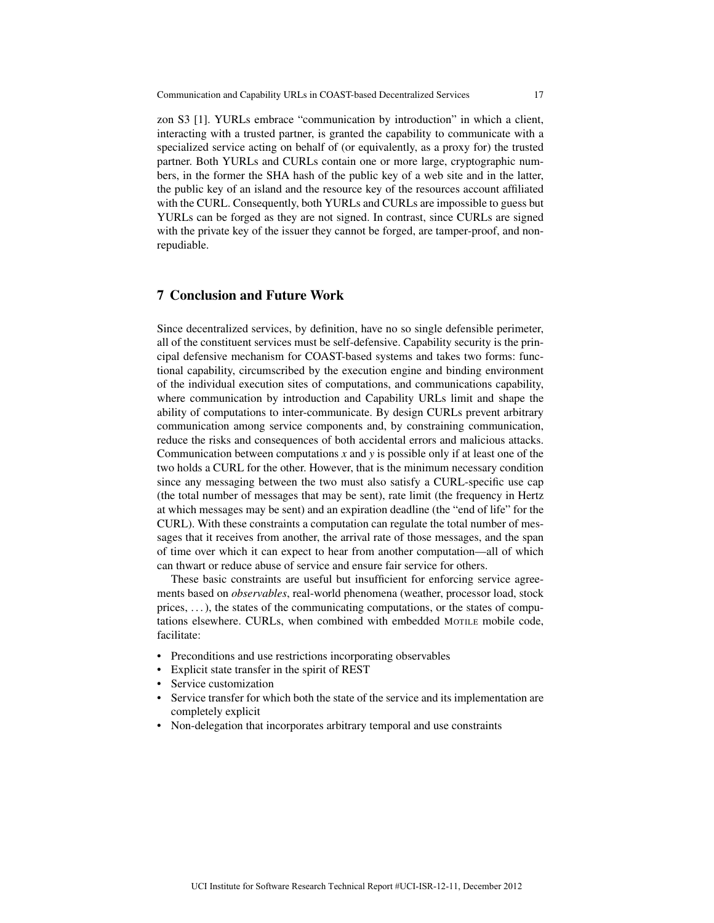zon S3 [1]. YURLs embrace "communication by introduction" in which a client, interacting with a trusted partner, is granted the capability to communicate with a specialized service acting on behalf of (or equivalently, as a proxy for) the trusted partner. Both YURLs and CURLs contain one or more large, cryptographic numbers, in the former the SHA hash of the public key of a web site and in the latter, the public key of an island and the resource key of the resources account affiliated with the CURL. Consequently, both YURLs and CURLs are impossible to guess but YURLs can be forged as they are not signed. In contrast, since CURLs are signed with the private key of the issuer they cannot be forged, are tamper-proof, and nonrepudiable.

# 7 Conclusion and Future Work

Since decentralized services, by definition, have no so single defensible perimeter, all of the constituent services must be self-defensive. Capability security is the principal defensive mechanism for COAST-based systems and takes two forms: functional capability, circumscribed by the execution engine and binding environment of the individual execution sites of computations, and communications capability, where communication by introduction and Capability URLs limit and shape the ability of computations to inter-communicate. By design CURLs prevent arbitrary communication among service components and, by constraining communication, reduce the risks and consequences of both accidental errors and malicious attacks. Communication between computations *x* and *y* is possible only if at least one of the two holds a CURL for the other. However, that is the minimum necessary condition since any messaging between the two must also satisfy a CURL-specific use cap (the total number of messages that may be sent), rate limit (the frequency in Hertz at which messages may be sent) and an expiration deadline (the "end of life" for the CURL). With these constraints a computation can regulate the total number of messages that it receives from another, the arrival rate of those messages, and the span of time over which it can expect to hear from another computation—all of which can thwart or reduce abuse of service and ensure fair service for others.

These basic constraints are useful but insufficient for enforcing service agreements based on *observables*, real-world phenomena (weather, processor load, stock  $\text{prices}, \ldots$ ), the states of the communicating computations, or the states of computations elsewhere. CURLs, when combined with embedded MOTILE mobile code, facilitate:

- Preconditions and use restrictions incorporating observables
- Explicit state transfer in the spirit of REST
- Service customization
- Service transfer for which both the state of the service and its implementation are completely explicit
- Non-delegation that incorporates arbitrary temporal and use constraints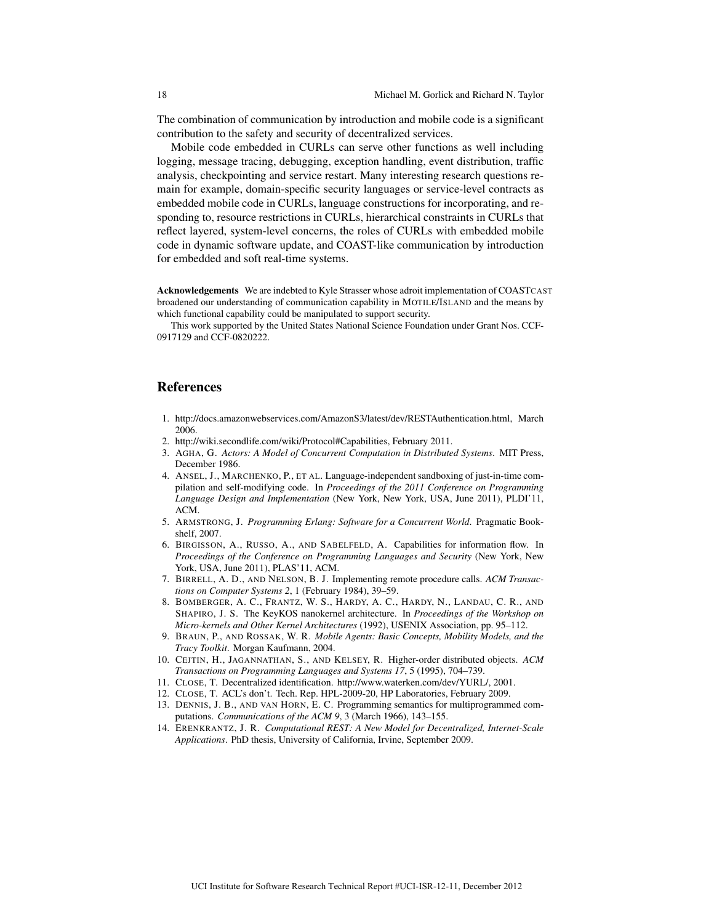The combination of communication by introduction and mobile code is a significant contribution to the safety and security of decentralized services.

Mobile code embedded in CURLs can serve other functions as well including logging, message tracing, debugging, exception handling, event distribution, traffic analysis, checkpointing and service restart. Many interesting research questions remain for example, domain-specific security languages or service-level contracts as embedded mobile code in CURLs, language constructions for incorporating, and responding to, resource restrictions in CURLs, hierarchical constraints in CURLs that reflect layered, system-level concerns, the roles of CURLs with embedded mobile code in dynamic software update, and COAST-like communication by introduction for embedded and soft real-time systems.

Acknowledgements We are indebted to Kyle Strasser whose adroit implementation of COASTCAST broadened our understanding of communication capability in MOTILE/ISLAND and the means by which functional capability could be manipulated to support security.

This work supported by the United States National Science Foundation under Grant Nos. CCF-0917129 and CCF-0820222.

#### References

- 1. http://docs.amazonwebservices.com/AmazonS3/latest/dev/RESTAuthentication.html, March 2006.
- 2. http://wiki.secondlife.com/wiki/Protocol#Capabilities, February 2011.
- 3. AGHA, G. *Actors: A Model of Concurrent Computation in Distributed Systems*. MIT Press, December 1986.
- 4. ANSEL, J., MARCHENKO, P., ET AL. Language-independent sandboxing of just-in-time compilation and self-modifying code. In *Proceedings of the 2011 Conference on Programming Language Design and Implementation* (New York, New York, USA, June 2011), PLDI'11, ACM.
- 5. ARMSTRONG, J. *Programming Erlang: Software for a Concurrent World*. Pragmatic Bookshelf, 2007.
- 6. BIRGISSON, A., RUSSO, A., AND SABELFELD, A. Capabilities for information flow. In *Proceedings of the Conference on Programming Languages and Security* (New York, New York, USA, June 2011), PLAS'11, ACM.
- 7. BIRRELL, A. D., AND NELSON, B. J. Implementing remote procedure calls. *ACM Transactions on Computer Systems 2*, 1 (February 1984), 39–59.
- 8. BOMBERGER, A. C., FRANTZ, W. S., HARDY, A. C., HARDY, N., LANDAU, C. R., AND SHAPIRO, J. S. The KeyKOS nanokernel architecture. In *Proceedings of the Workshop on Micro-kernels and Other Kernel Architectures* (1992), USENIX Association, pp. 95–112.
- 9. BRAUN, P., AND ROSSAK, W. R. *Mobile Agents: Basic Concepts, Mobility Models, and the Tracy Toolkit*. Morgan Kaufmann, 2004.
- 10. CEJTIN, H., JAGANNATHAN, S., AND KELSEY, R. Higher-order distributed objects. *ACM Transactions on Programming Languages and Systems 17*, 5 (1995), 704–739.
- 11. CLOSE, T. Decentralized identification. http://www.waterken.com/dev/YURL/, 2001.
- 12. CLOSE, T. ACL's don't. Tech. Rep. HPL-2009-20, HP Laboratories, February 2009.
- 13. DENNIS, J. B., AND VAN HORN, E. C. Programming semantics for multiprogrammed computations. *Communications of the ACM 9*, 3 (March 1966), 143–155.
- 14. ERENKRANTZ, J. R. *Computational REST: A New Model for Decentralized, Internet-Scale Applications*. PhD thesis, University of California, Irvine, September 2009.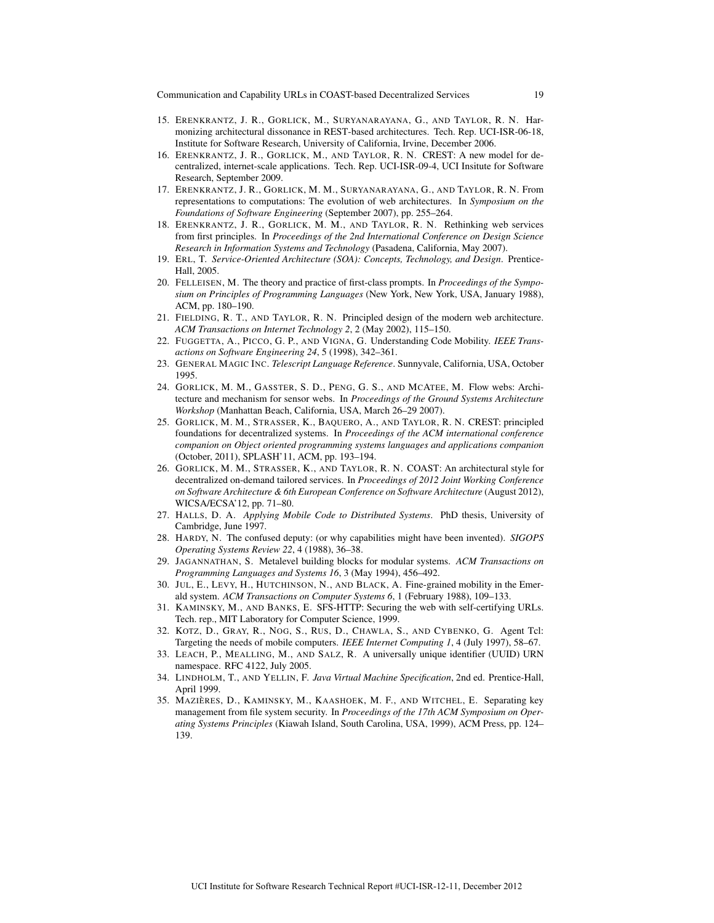- 15. ERENKRANTZ, J. R., GORLICK, M., SURYANARAYANA, G., AND TAYLOR, R. N. Harmonizing architectural dissonance in REST-based architectures. Tech. Rep. UCI-ISR-06-18, Institute for Software Research, University of California, Irvine, December 2006.
- 16. ERENKRANTZ, J. R., GORLICK, M., AND TAYLOR, R. N. CREST: A new model for decentralized, internet-scale applications. Tech. Rep. UCI-ISR-09-4, UCI Insitute for Software Research, September 2009.
- 17. ERENKRANTZ, J. R., GORLICK, M. M., SURYANARAYANA, G., AND TAYLOR, R. N. From representations to computations: The evolution of web architectures. In *Symposium on the Foundations of Software Engineering* (September 2007), pp. 255–264.
- 18. ERENKRANTZ, J. R., GORLICK, M. M., AND TAYLOR, R. N. Rethinking web services from first principles. In *Proceedings of the 2nd International Conference on Design Science Research in Information Systems and Technology* (Pasadena, California, May 2007).
- 19. ERL, T. *Service-Oriented Architecture (SOA): Concepts, Technology, and Design*. Prentice-Hall, 2005.
- 20. FELLEISEN, M. The theory and practice of first-class prompts. In *Proceedings of the Symposium on Principles of Programming Languages* (New York, New York, USA, January 1988), ACM, pp. 180–190.
- 21. FIELDING, R. T., AND TAYLOR, R. N. Principled design of the modern web architecture. *ACM Transactions on Internet Technology 2*, 2 (May 2002), 115–150.
- 22. FUGGETTA, A., PICCO, G. P., AND VIGNA, G. Understanding Code Mobility. *IEEE Transactions on Software Engineering 24*, 5 (1998), 342–361.
- 23. GENERAL MAGIC INC. *Telescript Language Reference*. Sunnyvale, California, USA, October 1995.
- 24. GORLICK, M. M., GASSTER, S. D., PENG, G. S., AND MCATEE, M. Flow webs: Architecture and mechanism for sensor webs. In *Proceedings of the Ground Systems Architecture Workshop* (Manhattan Beach, California, USA, March 26–29 2007).
- 25. GORLICK, M. M., STRASSER, K., BAQUERO, A., AND TAYLOR, R. N. CREST: principled foundations for decentralized systems. In *Proceedings of the ACM international conference companion on Object oriented programming systems languages and applications companion* (October, 2011), SPLASH'11, ACM, pp. 193–194.
- 26. GORLICK, M. M., STRASSER, K., AND TAYLOR, R. N. COAST: An architectural style for decentralized on-demand tailored services. In *Proceedings of 2012 Joint Working Conference on Software Architecture & 6th European Conference on Software Architecture* (August 2012), WICSA/ECSA'12, pp. 71–80.
- 27. HALLS, D. A. *Applying Mobile Code to Distributed Systems*. PhD thesis, University of Cambridge, June 1997.
- 28. HARDY, N. The confused deputy: (or why capabilities might have been invented). *SIGOPS Operating Systems Review 22*, 4 (1988), 36–38.
- 29. JAGANNATHAN, S. Metalevel building blocks for modular systems. *ACM Transactions on Programming Languages and Systems 16*, 3 (May 1994), 456–492.
- 30. JUL, E., LEVY, H., HUTCHINSON, N., AND BLACK, A. Fine-grained mobility in the Emerald system. *ACM Transactions on Computer Systems 6*, 1 (February 1988), 109–133.
- 31. KAMINSKY, M., AND BANKS, E. SFS-HTTP: Securing the web with self-certifying URLs. Tech. rep., MIT Laboratory for Computer Science, 1999.
- 32. KOTZ, D., GRAY, R., NOG, S., RUS, D., CHAWLA, S., AND CYBENKO, G. Agent Tcl: Targeting the needs of mobile computers. *IEEE Internet Computing 1*, 4 (July 1997), 58–67.
- 33. LEACH, P., MEALLING, M., AND SALZ, R. A universally unique identifier (UUID) URN namespace. RFC 4122, July 2005.
- 34. LINDHOLM, T., AND YELLIN, F. *Java Virtual Machine Specification*, 2nd ed. Prentice-Hall, April 1999.
- 35. MAZIÈRES, D., KAMINSKY, M., KAASHOEK, M. F., AND WITCHEL, E. Separating key management from file system security. In *Proceedings of the 17th ACM Symposium on Operating Systems Principles* (Kiawah Island, South Carolina, USA, 1999), ACM Press, pp. 124– 139.